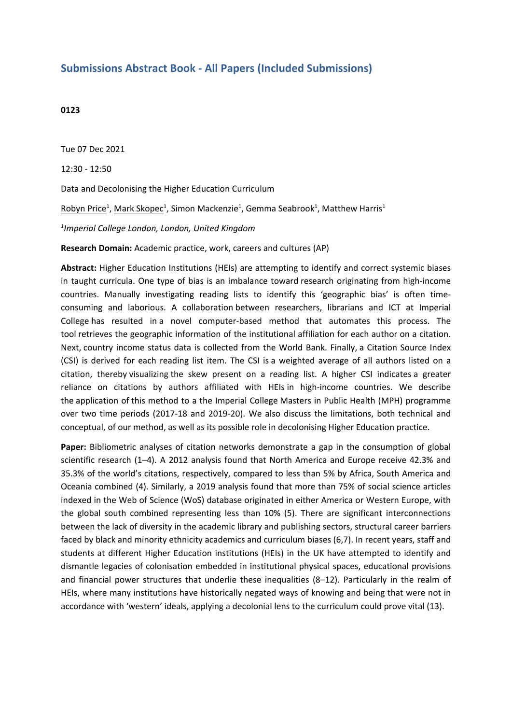## **Submissions Abstract Book - All Papers (Included Submissions)**

## **0123**

Tue 07 Dec 2021

12:30 - 12:50

Data and Decolonising the Higher Education Curriculum

 ${\sf Robyn\, Price^1, Mark\, Skopec^1, \, Simon\, Mackenzie^1, \, \sf Gemma\, Seabrook^1, \, Matthew \, Harris^1}$ 

*1 Imperial College London, London, United Kingdom*

**Research Domain:** Academic practice, work, careers and cultures (AP)

**Abstract:** Higher Education Institutions (HEIs) are attempting to identify and correct systemic biases in taught curricula. One type of bias is an imbalance toward research originating from high-income countries. Manually investigating reading lists to identify this 'geographic bias' is often timeconsuming and laborious. A collaboration between researchers, librarians and ICT at Imperial College has resulted in a novel computer-based method that automates this process. The tool retrieves the geographic information of the institutional affiliation for each author on <sup>a</sup> citation. Next, country income status data is collected from the World Bank. Finally, a Citation Source Index (CSI) is derived for each reading list item. The CSI is a weighted average of all authors listed on <sup>a</sup> citation, thereby visualizing the skew present on <sup>a</sup> reading list. A higher CSI indicates a greater reliance on citations by authors affiliated with HEIs in high-income countries. We describe the application of this method to <sup>a</sup> the Imperial College Masters in Public Health (MPH) programme over two time periods (2017-18 and 2019-20). We also discuss the limitations, both technical and conceptual, of our method, as well as its possible role in decolonising Higher Education practice.

**Paper:** Bibliometric analyses of citation networks demonstrate <sup>a</sup> gap in the consumption of global scientific research (1–4). A 2012 analysis found that North America and Europe receive 42.3% and 35.3% of the world's citations, respectively, compared to less than 5% by Africa, South America and Oceania combined (4). Similarly, <sup>a</sup> 2019 analysis found that more than 75% of social science articles indexed in the Web of Science (WoS) database originated in either America or Western Europe, with the global south combined representing less than 10% (5). There are significant interconnections between the lack of diversity in the academic library and publishing sectors, structural career barriers faced by black and minority ethnicity academics and curriculum biases (6,7). In recent years, staff and students at different Higher Education institutions (HEIs) in the UK have attempted to identify and dismantle legacies of colonisation embedded in institutional physical spaces, educational provisions and financial power structures that underlie these inequalities (8–12). Particularly in the realm of HEIs, where many institutions have historically negated ways of knowing and being that were not in accordance with 'western' ideals, applying <sup>a</sup> decolonial lens to the curriculum could prove vital (13).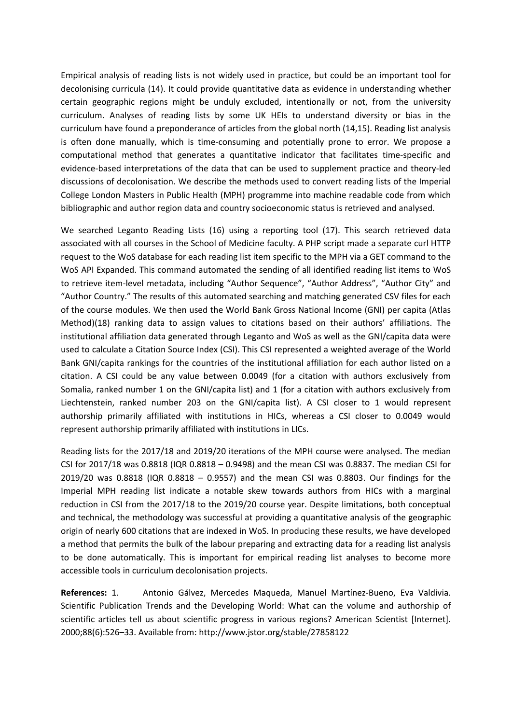Empirical analysis of reading lists is not widely used in practice, but could be an important tool for decolonising curricula (14). It could provide quantitative data as evidence in understanding whether certain geographic regions might be unduly excluded, intentionally or not, from the university curriculum. Analyses of reading lists by some UK HEIs to understand diversity or bias in the curriculum have found <sup>a</sup> preponderance of articles from the global north (14,15). Reading list analysis is often done manually, which is time-consuming and potentially prone to error. We propose <sup>a</sup> computational method that generates <sup>a</sup> quantitative indicator that facilitates time-specific and evidence-based interpretations of the data that can be used to supplement practice and theory-led discussions of decolonisation. We describe the methods used to convert reading lists of the Imperial College London Masters in Public Health (MPH) programme into machine readable code from which bibliographic and author region data and country socioeconomic status is retrieved and analysed.

We searched Leganto Reading Lists (16) using a reporting tool (17). This search retrieved data associated with all courses in the School of Medicine faculty. A PHP script made <sup>a</sup> separate curl HTTP request to the WoS database for each reading list item specific to the MPH via <sup>a</sup> GET command to the WoS API Expanded. This command automated the sending of all identified reading list items to WoS to retrieve item-level metadata, including "Author Sequence", "Author Address", "Author City" and "Author Country." The results of this automated searching and matching generated CSV files for each of the course modules. We then used the World Bank Gross National Income (GNI) per capita (Atlas Method)(18) ranking data to assign values to citations based on their authors' affiliations. The institutional affiliation data generated through Leganto and WoS as well as the GNI/capita data were used to calculate <sup>a</sup> Citation Source Index (CSI). This CSI represented <sup>a</sup> weighted average of the World Bank GNI/capita rankings for the countries of the institutional affiliation for each author listed on <sup>a</sup> citation. A CSI could be any value between 0.0049 (for <sup>a</sup> citation with authors exclusively from Somalia, ranked number 1 on the GNI/capita list) and 1 (for <sup>a</sup> citation with authors exclusively from Liechtenstein, ranked number 203 on the GNI/capita list). A CSI closer to 1 would represent authorship primarily affiliated with institutions in HICs, whereas <sup>a</sup> CSI closer to 0.0049 would represent authorship primarily affiliated with institutions in LICs.

Reading lists for the 2017/18 and 2019/20 iterations of the MPH course were analysed. The median CSI for 2017/18 was 0.8818 (IQR 0.8818 – 0.9498) and the mean CSI was 0.8837. The median CSI for 2019/20 was 0.8818 (IQR 0.8818 – 0.9557) and the mean CSI was 0.8803. Our findings for the Imperial MPH reading list indicate <sup>a</sup> notable skew towards authors from HICs with <sup>a</sup> marginal reduction in CSI from the 2017/18 to the 2019/20 course year. Despite limitations, both conceptual and technical, the methodology was successful at providing <sup>a</sup> quantitative analysis of the geographic origin of nearly 600 citations that are indexed in WoS. In producing these results, we have developed <sup>a</sup> method that permits the bulk of the labour preparing and extracting data for <sup>a</sup> reading list analysis to be done automatically. This is important for empirical reading list analyses to become more accessible tools in curriculum decolonisation projects.

**References:** 1. Antonio Gálvez, Mercedes Maqueda, Manuel Martínez-Bueno, Eva Valdivia. Scientific Publication Trends and the Developing World: What can the volume and authorship of scientific articles tell us about scientific progress in various regions? American Scientist [Internet]. 2000;88(6):526–33. Available from: http://www.jstor.org/stable/27858122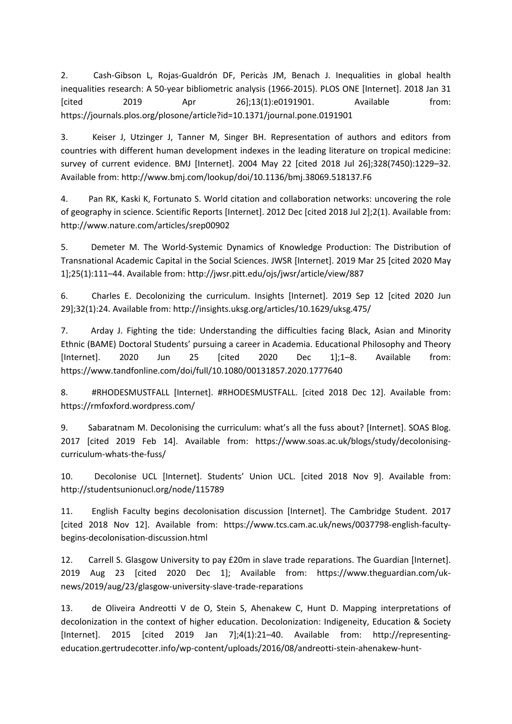2. Cash-Gibson L, Rojas-Gualdrón DF, Pericàs JM, Benach J. Inequalities in global health inequalities research: A 50-year bibliometric analysis (1966-2015). PLOS ONE [Internet]. 2018 Jan 31 [cited 2019 Apr 26];13(1):e0191901. Available from: https://journals.plos.org/plosone/article?id=10.1371/journal.pone.0191901

3. Keiser J, Utzinger J, Tanner M, Singer BH. Representation of authors and editors from countries with different human development indexes in the leading literature on tropical medicine: survey of current evidence. BMJ [Internet]. 2004 May 22 [cited 2018 Jul 26];328(7450):1229–32. Available from: http://www.bmj.com/lookup/doi/10.1136/bmj.38069.518137.F6

4. Pan RK, Kaski K, Fortunato S. World citation and collaboration networks: uncovering the role of geography in science. Scientific Reports [Internet]. 2012 Dec [cited 2018 Jul 2];2(1). Available from: http://www.nature.com/articles/srep00902

5. Demeter M. The World-Systemic Dynamics of Knowledge Production: The Distribution of Transnational Academic Capital in the Social Sciences. JWSR [Internet]. 2019 Mar 25 [cited 2020 May 1];25(1):111–44. Available from: http://jwsr.pitt.edu/ojs/jwsr/article/view/887

6. Charles E. Decolonizing the curriculum. Insights [Internet]. 2019 Sep 12 [cited 2020 Jun 29];32(1):24. Available from: http://insights.uksg.org/articles/10.1629/uksg.475/

7. Arday J. Fighting the tide: Understanding the difficulties facing Black, Asian and Minority Ethnic (BAME) Doctoral Students' pursuing <sup>a</sup> career in Academia. Educational Philosophy and Theory [Internet]. 2020 Jun 25 [cited 2020 Dec 1];1–8. Available from: https://www.tandfonline.com/doi/full/10.1080/00131857.2020.1777640

8. #RHODESMUSTFALL [Internet]. #RHODESMUSTFALL. [cited 2018 Dec 12]. Available from: https://rmfoxford.wordpress.com/

9. Sabaratnam M. Decolonising the curriculum: what's all the fuss about? [Internet]. SOAS Blog. 2017 [cited 2019 Feb 14]. Available from: https://www.soas.ac.uk/blogs/study/decolonisingcurriculum-whats-the-fuss/

10. Decolonise UCL [Internet]. Students' Union UCL. [cited 2018 Nov 9]. Available from: http://studentsunionucl.org/node/115789

11. English Faculty begins decolonisation discussion [Internet]. The Cambridge Student. 2017 [cited 2018 Nov 12]. Available from: https://www.tcs.cam.ac.uk/news/0037798-english-facultybegins-decolonisation-discussion.html

12. Carrell S. Glasgow University to pay £20m in slave trade reparations. The Guardian [Internet]. 2019 Aug 23 [cited 2020 Dec 1]; Available from: https://www.theguardian.com/uknews/2019/aug/23/glasgow-university-slave-trade-reparations

13. de Oliveira Andreotti V de O, Stein S, Ahenakew C, Hunt D. Mapping interpretations of decolonization in the context of higher education. Decolonization: Indigeneity, Education & Society [Internet]. 2015 [cited 2019 Jan 7];4(1):21–40. Available from: http://representingeducation.gertrudecotter.info/wp-content/uploads/2016/08/andreotti-stein-ahenakew-hunt